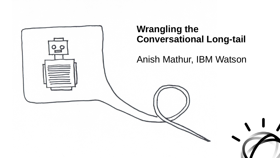

## **Wrangling the Conversational Long-tail**

Anish Mathur, IBM Watson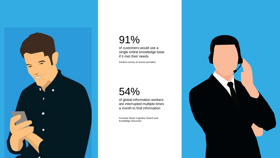

# 91%

of customers would use a single online knowledge base if it met their needs

Amdocs survey of service providers

# 54%

of global information workers are interrupted multiple times a month to find information

Forrester Wave Cognitive Search and Knowledge Discovery

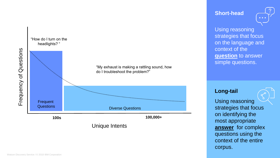

#### **Short -head**



Using reasoning strategies that focus on the language and context of the **question** to answer simple questions.

#### **Long -tail**

Using reasoning strategies that focus on identifying the most appropriate **answer** for complex questions using the context of the entire corpus.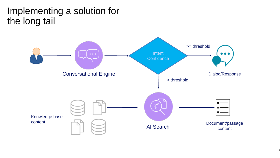# Implementing a solution for the long tail

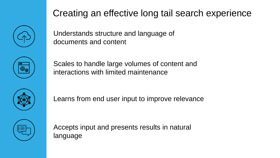# Creating an effective long tail search experience



Understands structure and language of documents and content



Scales to handle large volumes of content and interactions with limited maintenance



Learns from end user input to improve relevance



Accepts input and presents results in natural language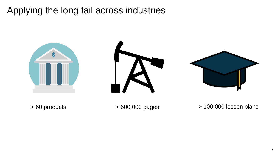# Applying the long tail across industries





> 60 products > 600,000 pages > 100,000 lesson plans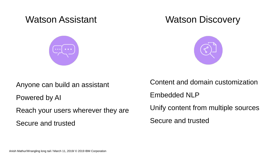

### Watson Assistant **Watson Discovery**



Anyone can build an assistant

Powered by AI

Reach your users wherever they are

Secure and trusted

Content and domain customization Embedded NLP Unify content from multiple sources Secure and trusted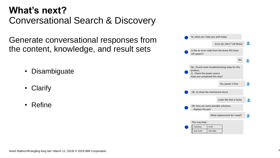# **What's next?**  Conversational Search & Discovery

Generate conversational responses from the content, knowledge, and result sets

- Disambiguate
- **Clarify**
- Refine